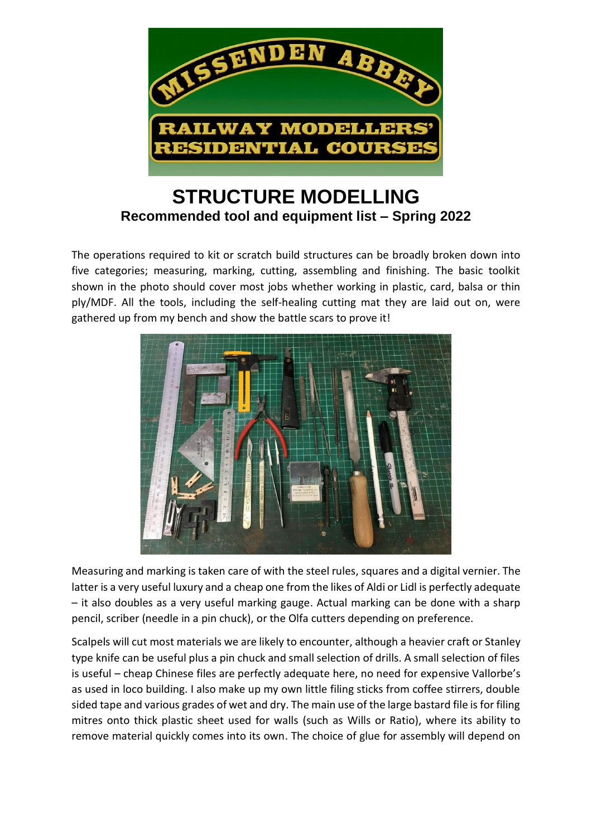

## **STRUCTURE MODELLING Recommended tool and equipment list – Spring 2022**

The operations required to kit or scratch build structures can be broadly broken down into five categories; measuring, marking, cutting, assembling and finishing. The basic toolkit shown in the photo should cover most jobs whether working in plastic, card, balsa or thin ply/MDF. All the tools, including the self-healing cutting mat they are laid out on, were gathered up from my bench and show the battle scars to prove it!



Measuring and marking is taken care of with the steel rules, squares and a digital vernier. The latter is a very useful luxury and a cheap one from the likes of Aldi or Lidl is perfectly adequate – it also doubles as a very useful marking gauge. Actual marking can be done with a sharp pencil, scriber (needle in a pin chuck), or the Olfa cutters depending on preference.

Scalpels will cut most materials we are likely to encounter, although a heavier craft or Stanley type knife can be useful plus a pin chuck and small selection of drills. A small selection of files is useful – cheap Chinese files are perfectly adequate here, no need for expensive Vallorbe's as used in loco building. I also make up my own little filing sticks from coffee stirrers, double sided tape and various grades of wet and dry. The main use of the large bastard file is for filing mitres onto thick plastic sheet used for walls (such as Wills or Ratio), where its ability to remove material quickly comes into its own. The choice of glue for assembly will depend on